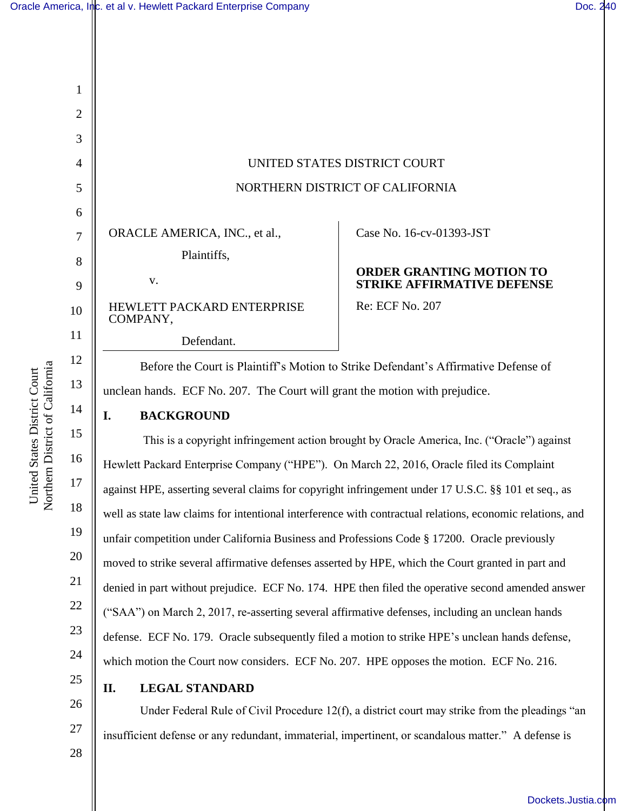

Northern District of California Northern District of California United States District Court United States District Court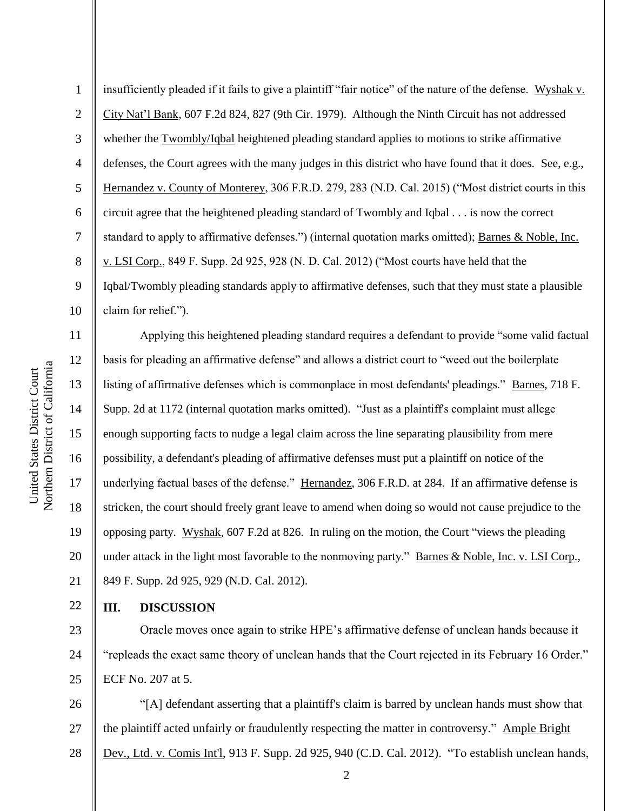7 8 9 10 11 12 Northern District of California Northern District of California United States District Court United States District Court 13 14 15 16 17

18

19

21

22

1

2

3

4

5

6

insufficiently pleaded if it fails to give a plaintiff "fair notice" of the nature of the defense. Wyshak v. City Nat'l Bank, 607 F.2d 824, 827 (9th Cir. 1979). Although the Ninth Circuit has not addressed whether the **Twombly/Iqbal** heightened pleading standard applies to motions to strike affirmative defenses, the Court agrees with the many judges in this district who have found that it does. See, e.g., Hernandez v. County of Monterey, 306 F.R.D. 279, 283 (N.D. Cal. 2015) ("Most district courts in this circuit agree that the heightened pleading standard of Twombly and Iqbal . . . is now the correct standard to apply to affirmative defenses.") (internal quotation marks omitted); Barnes & Noble, Inc. v. LSI Corp., 849 F. Supp. 2d 925, 928 (N. D. Cal. 2012) ("Most courts have held that the Iqbal/Twombly pleading standards apply to affirmative defenses, such that they must state a plausible claim for relief.").

20 Applying this heightened pleading standard requires a defendant to provide "some valid factual basis for pleading an affirmative defense" and allows a district court to "weed out the boilerplate listing of affirmative defenses which is commonplace in most defendants' pleadings." Barnes, 718 F. Supp. 2d at 1172 (internal quotation marks omitted). "Just as a plaintiff's complaint must allege enough supporting facts to nudge a legal claim across the line separating plausibility from mere possibility, a defendant's pleading of affirmative defenses must put a plaintiff on notice of the underlying factual bases of the defense." Hernandez, 306 F.R.D. at 284. If an affirmative defense is stricken, the court should freely grant leave to amend when doing so would not cause prejudice to the opposing party. Wyshak, 607 F.2d at 826. In ruling on the motion, the Court "views the pleading under attack in the light most favorable to the nonmoving party." Barnes & Noble, Inc. v. LSI Corp., 849 F. Supp. 2d 925, 929 (N.D. Cal. 2012).

## **III. DISCUSSION**

23 24 25 Oracle moves once again to strike HPE's affirmative defense of unclean hands because it "repleads the exact same theory of unclean hands that the Court rejected in its February 16 Order." ECF No. 207 at 5.

26 27 28 "[A] defendant asserting that a plaintiff's claim is barred by unclean hands must show that the plaintiff acted unfairly or fraudulently respecting the matter in controversy." Ample Bright Dev., Ltd. v. Comis Int'l, 913 F. Supp. 2d 925, 940 (C.D. Cal. 2012). "To establish unclean hands,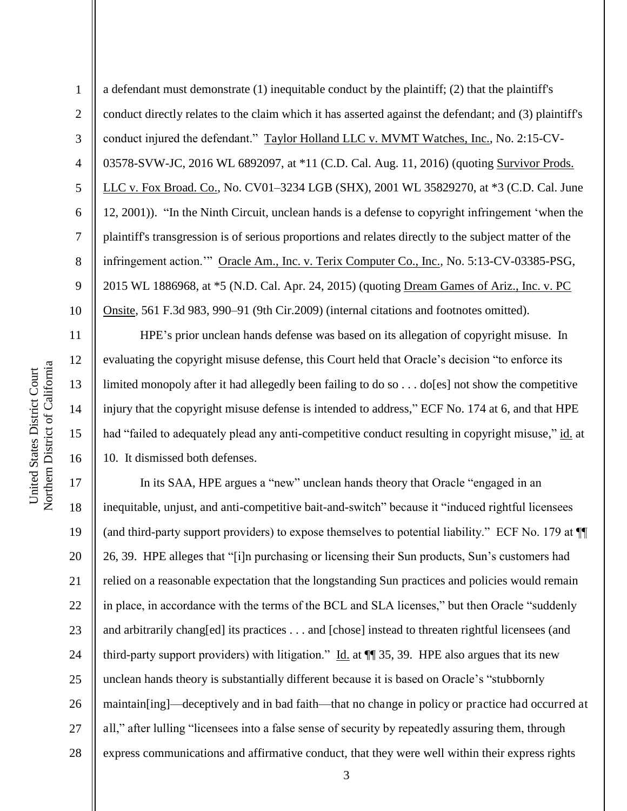11

12

13

14

15

16

1 2 3 4 5 6 7 8 9 10 a defendant must demonstrate (1) inequitable conduct by the plaintiff; (2) that the plaintiff's conduct directly relates to the claim which it has asserted against the defendant; and (3) plaintiff's conduct injured the defendant." Taylor Holland LLC v. MVMT Watches, Inc., No. 2:15-CV-03578-SVW-JC, 2016 WL 6892097, at \*11 (C.D. Cal. Aug. 11, 2016) (quoting Survivor Prods. LLC v. Fox Broad. Co., No. CV01–3234 LGB (SHX), 2001 WL 35829270, at \*3 (C.D. Cal. June 12, 2001)). "In the Ninth Circuit, unclean hands is a defense to copyright infringement 'when the plaintiff's transgression is of serious proportions and relates directly to the subject matter of the infringement action.'" Oracle Am., Inc. v. Terix Computer Co., Inc., No. 5:13-CV-03385-PSG, 2015 WL 1886968, at \*5 (N.D. Cal. Apr. 24, 2015) (quoting Dream Games of Ariz., Inc. v. PC Onsite, 561 F.3d 983, 990–91 (9th Cir.2009) (internal citations and footnotes omitted).

HPE's prior unclean hands defense was based on its allegation of copyright misuse. In evaluating the copyright misuse defense, this Court held that Oracle's decision "to enforce its limited monopoly after it had allegedly been failing to do so  $\dots$  do [es] not show the competitive injury that the copyright misuse defense is intended to address," ECF No. 174 at 6, and that HPE had "failed to adequately plead any anti-competitive conduct resulting in copyright misuse," id. at 10. It dismissed both defenses.

17 18 19 20 21 22 23 24 25 26 27 28 In its SAA, HPE argues a "new" unclean hands theory that Oracle "engaged in an inequitable, unjust, and anti-competitive bait-and-switch" because it "induced rightful licensees (and third-party support providers) to expose themselves to potential liability." ECF No. 179 at ¶¶ 26, 39. HPE alleges that "[i]n purchasing or licensing their Sun products, Sun's customers had relied on a reasonable expectation that the longstanding Sun practices and policies would remain in place, in accordance with the terms of the BCL and SLA licenses," but then Oracle "suddenly and arbitrarily chang[ed] its practices . . . and [chose] instead to threaten rightful licensees (and third-party support providers) with litigation." Id. at  $\P$  35, 39. HPE also argues that its new unclean hands theory is substantially different because it is based on Oracle's "stubbornly maintain[ing]—deceptively and in bad faith—that no change in policy or practice had occurred at all," after lulling "licensees into a false sense of security by repeatedly assuring them, through express communications and affirmative conduct, that they were well within their express rights

3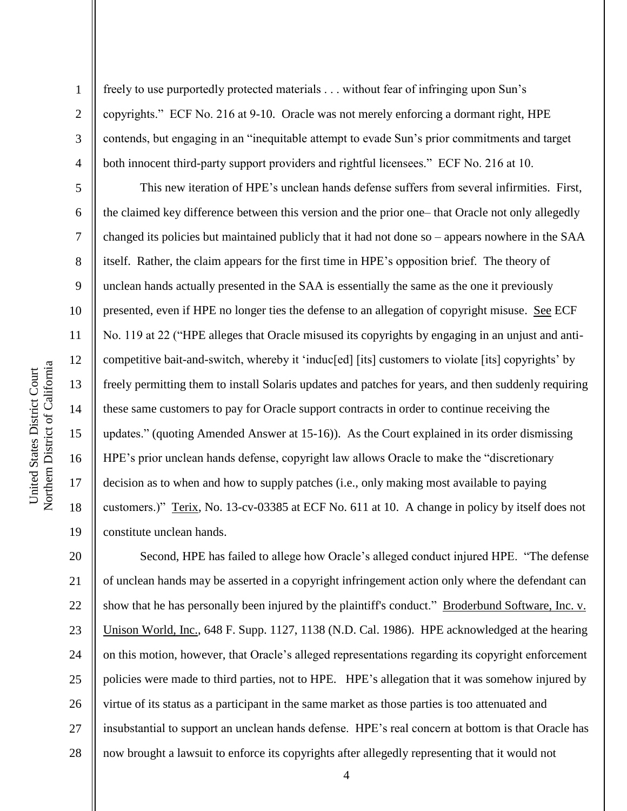1

2

3

4

5

6

7

8

9

10

11

12

13

14

15

16

17

18

19

freely to use purportedly protected materials . . . without fear of infringing upon Sun's copyrights." ECF No. 216 at 9-10. Oracle was not merely enforcing a dormant right, HPE contends, but engaging in an "inequitable attempt to evade Sun's prior commitments and target both innocent third-party support providers and rightful licensees." ECF No. 216 at 10.

This new iteration of HPE's unclean hands defense suffers from several infirmities. First, the claimed key difference between this version and the prior one– that Oracle not only allegedly changed its policies but maintained publicly that it had not done so – appears nowhere in the SAA itself. Rather, the claim appears for the first time in HPE's opposition brief. The theory of unclean hands actually presented in the SAA is essentially the same as the one it previously presented, even if HPE no longer ties the defense to an allegation of copyright misuse. See ECF No. 119 at 22 ("HPE alleges that Oracle misused its copyrights by engaging in an unjust and anticompetitive bait-and-switch, whereby it 'induc[ed] [its] customers to violate [its] copyrights' by freely permitting them to install Solaris updates and patches for years, and then suddenly requiring these same customers to pay for Oracle support contracts in order to continue receiving the updates." (quoting Amended Answer at 15-16)). As the Court explained in its order dismissing HPE's prior unclean hands defense, copyright law allows Oracle to make the "discretionary decision as to when and how to supply patches (i.e., only making most available to paying customers.)" Terix, No. 13-cv-03385 at ECF No. 611 at 10. A change in policy by itself does not constitute unclean hands.

20 21 22 23 24 25 26 27 28 Second, HPE has failed to allege how Oracle's alleged conduct injured HPE. "The defense of unclean hands may be asserted in a copyright infringement action only where the defendant can show that he has personally been injured by the plaintiff's conduct." Broderbund Software, Inc. v. Unison World, Inc., 648 F. Supp. 1127, 1138 (N.D. Cal. 1986). HPE acknowledged at the hearing on this motion, however, that Oracle's alleged representations regarding its copyright enforcement policies were made to third parties, not to HPE. HPE's allegation that it was somehow injured by virtue of its status as a participant in the same market as those parties is too attenuated and insubstantial to support an unclean hands defense. HPE's real concern at bottom is that Oracle has now brought a lawsuit to enforce its copyrights after allegedly representing that it would not